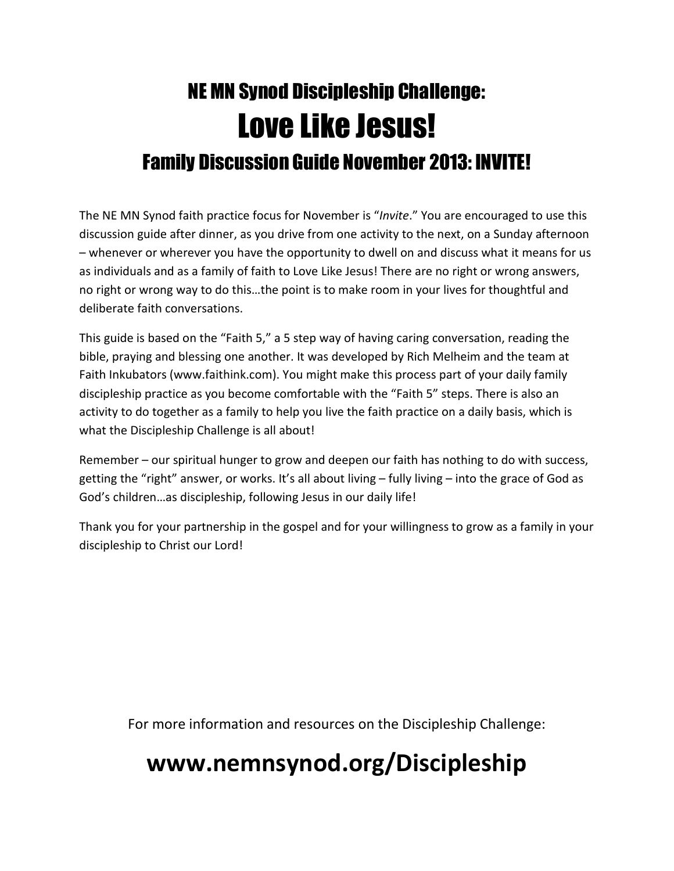# NE MN Synod Discipleship Challenge: Love Like Jesus! Family Discussion Guide November 2013: INVITE!

The NE MN Synod faith practice focus for November is "*Invite*." You are encouraged to use this discussion guide after dinner, as you drive from one activity to the next, on a Sunday afternoon – whenever or wherever you have the opportunity to dwell on and discuss what it means for us as individuals and as a family of faith to Love Like Jesus! There are no right or wrong answers, no right or wrong way to do this…the point is to make room in your lives for thoughtful and deliberate faith conversations.

This guide is based on the "Faith 5," a 5 step way of having caring conversation, reading the bible, praying and blessing one another. It was developed by Rich Melheim and the team at Faith Inkubators (www.faithink.com). You might make this process part of your daily family discipleship practice as you become comfortable with the "Faith 5" steps. There is also an activity to do together as a family to help you live the faith practice on a daily basis, which is what the Discipleship Challenge is all about!

Remember – our spiritual hunger to grow and deepen our faith has nothing to do with success, getting the "right" answer, or works. It's all about living – fully living – into the grace of God as God's children…as discipleship, following Jesus in our daily life!

Thank you for your partnership in the gospel and for your willingness to grow as a family in your discipleship to Christ our Lord!

For more information and resources on the Discipleship Challenge:

## www.nemnsynod.org/Discipleship